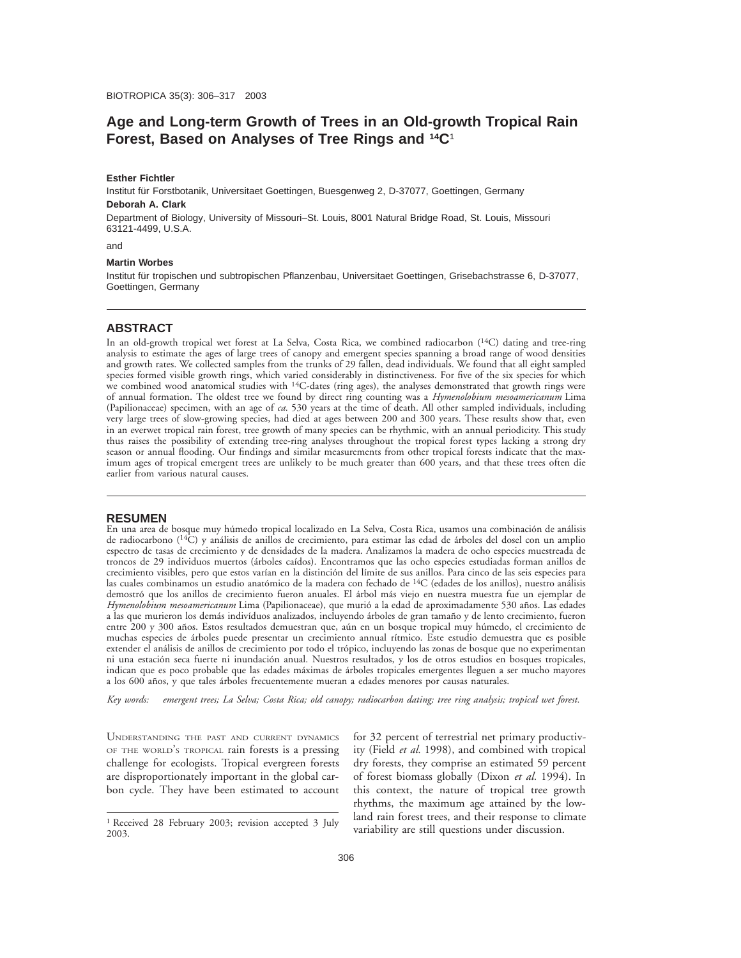# **Age and Long-term Growth of Trees in an Old-growth Tropical Rain Forest, Based on Analyses of Tree Rings and 14C**<sup>1</sup>

#### **Esther Fichtler**

Institut für Forstbotanik, Universitaet Goettingen, Buesgenweg 2, D-37077, Goettingen, Germany **Deborah A. Clark**

Department of Biology, University of Missouri–St. Louis, 8001 Natural Bridge Road, St. Louis, Missouri 63121-4499, U.S.A.

and

#### **Martin Worbes**

Institut für tropischen und subtropischen Pflanzenbau, Universitaet Goettingen, Grisebachstrasse 6, D-37077, Goettingen, Germany

# **ABSTRACT**

In an old-growth tropical wet forest at La Selva, Costa Rica, we combined radiocarbon (<sup>14</sup>C) dating and tree-ring analysis to estimate the ages of large trees of canopy and emergent species spanning a broad range of wood densities and growth rates. We collected samples from the trunks of 29 fallen, dead individuals. We found that all eight sampled species formed visible growth rings, which varied considerably in distinctiveness. For five of the six species for which we combined wood anatomical studies with <sup>14</sup>C-dates (ring ages), the analyses demonstrated that growth rings were of annual formation. The oldest tree we found by direct ring counting was a *Hymenolobium mesoamericanum* Lima (Papilionaceae) specimen, with an age of *ca.* 530 years at the time of death. All other sampled individuals, including very large trees of slow-growing species, had died at ages between 200 and 300 years. These results show that, even in an everwet tropical rain forest, tree growth of many species can be rhythmic, with an annual periodicity. This study thus raises the possibility of extending tree-ring analyses throughout the tropical forest types lacking a strong dry season or annual flooding. Our findings and similar measurements from other tropical forests indicate that the maximum ages of tropical emergent trees are unlikely to be much greater than 600 years, and that these trees often die earlier from various natural causes.

#### **RESUMEN**

En una area de bosque muy húmedo tropical localizado en La Selva, Costa Rica, usamos una combinación de análisis de radiocarbono (<sup>14</sup>C) y análisis de anillos de crecimiento, para estimar las edad de árboles del dosel con un amplio espectro de tasas de crecimiento y de densidades de la madera. Analizamos la madera de ocho especies muestreada de troncos de 29 individuos muertos (a´rboles caı´dos). Encontramos que las ocho especies estudiadas forman anillos de crecimiento visibles, pero que estos varían en la distinción del límite de sus anillos. Para cinco de las seis especies para las cuales combinamos un estudio anatómico de la madera con fechado de <sup>14</sup>C (edades de los anillos), nuestro análisis demostró que los anillos de crecimiento fueron anuales. El árbol más viejo en nuestra muestra fue un ejemplar de *Hymenolobium mesoamericanum* Lima (Papilionaceae), que murió a la edad de aproximadamente 530 años. Las edades a las que murieron los demás indivíduos analizados, incluyendo árboles de gran tamaño y de lento crecimiento, fueron entre 200 y 300 años. Estos resultados demuestran que, aún en un bosque tropical muy húmedo, el crecimiento de muchas especies de árboles puede presentar un crecimiento annual rítmico. Este estudio demuestra que es posible extender el análisis de anillos de crecimiento por todo el trópico, incluyendo las zonas de bosque que no experimentan ni una estación seca fuerte ni inundación anual. Nuestros resultados, y los de otros estudios en bosques tropicales, indican que es poco probable que las edades máximas de árboles tropicales emergentes lleguen a ser mucho mayores a los 600 años, y que tales árboles frecuentemente mueran a edades menores por causas naturales.

*Key words: emergent trees; La Selva; Costa Rica; old canopy; radiocarbon dating; tree ring analysis; tropical wet forest.*

UNDERSTANDING THE PAST AND CURRENT DYNAMICS OF THE WORLD'S TROPICAL rain forests is a pressing challenge for ecologists. Tropical evergreen forests are disproportionately important in the global carbon cycle. They have been estimated to account for 32 percent of terrestrial net primary productivity (Field *et al.* 1998), and combined with tropical dry forests, they comprise an estimated 59 percent of forest biomass globally (Dixon *et al.* 1994). In this context, the nature of tropical tree growth rhythms, the maximum age attained by the lowland rain forest trees, and their response to climate variability are still questions under discussion.

<sup>1</sup> Received 28 February 2003; revision accepted 3 July 2003.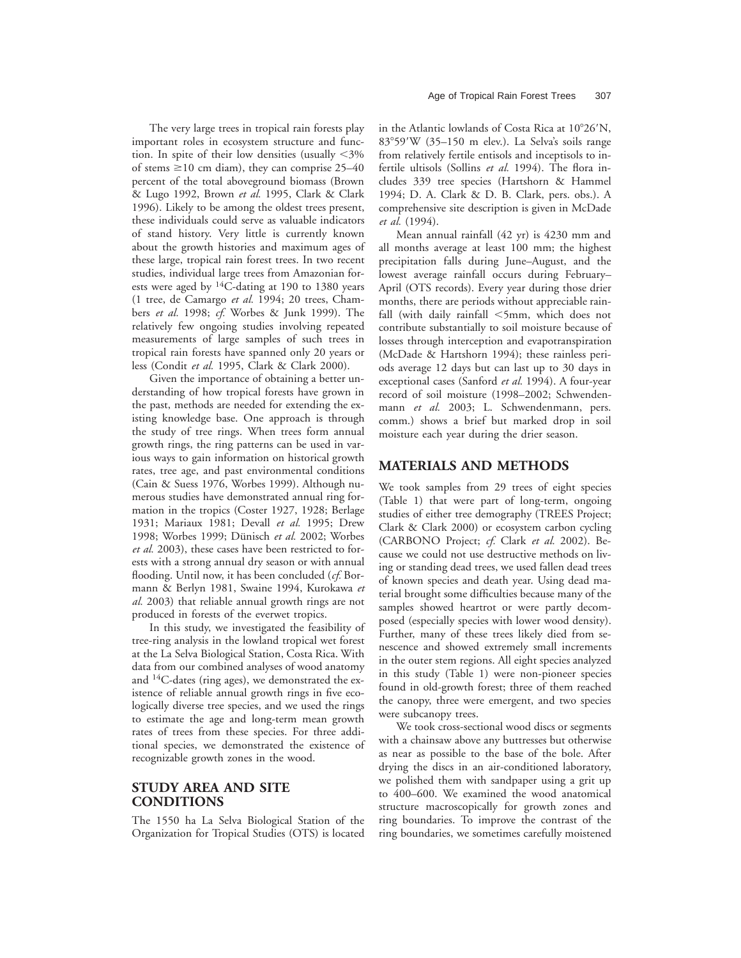The very large trees in tropical rain forests play important roles in ecosystem structure and function. In spite of their low densities (usually  $\langle 3\%$ ) of stems  $\geq$ 10 cm diam), they can comprise 25–40 percent of the total aboveground biomass (Brown & Lugo 1992, Brown *et al.* 1995, Clark & Clark 1996). Likely to be among the oldest trees present, these individuals could serve as valuable indicators of stand history. Very little is currently known about the growth histories and maximum ages of these large, tropical rain forest trees. In two recent studies, individual large trees from Amazonian forests were aged by <sup>14</sup>C-dating at 190 to 1380 years (1 tree, de Camargo *et al.* 1994; 20 trees, Chambers *et al.* 1998; *cf.* Worbes & Junk 1999). The relatively few ongoing studies involving repeated measurements of large samples of such trees in tropical rain forests have spanned only 20 years or less (Condit *et al.* 1995, Clark & Clark 2000).

Given the importance of obtaining a better understanding of how tropical forests have grown in the past, methods are needed for extending the existing knowledge base. One approach is through the study of tree rings. When trees form annual growth rings, the ring patterns can be used in various ways to gain information on historical growth rates, tree age, and past environmental conditions (Cain & Suess 1976, Worbes 1999). Although numerous studies have demonstrated annual ring formation in the tropics (Coster 1927, 1928; Berlage 1931; Mariaux 1981; Devall *et al.* 1995; Drew 1998; Worbes 1999; Dünisch et al. 2002; Worbes *et al.* 2003), these cases have been restricted to forests with a strong annual dry season or with annual flooding. Until now, it has been concluded (*cf.* Bormann & Berlyn 1981, Swaine 1994, Kurokawa *et al.* 2003) that reliable annual growth rings are not produced in forests of the everwet tropics.

In this study, we investigated the feasibility of tree-ring analysis in the lowland tropical wet forest at the La Selva Biological Station, Costa Rica. With data from our combined analyses of wood anatomy and 14C-dates (ring ages), we demonstrated the existence of reliable annual growth rings in five ecologically diverse tree species, and we used the rings to estimate the age and long-term mean growth rates of trees from these species. For three additional species, we demonstrated the existence of recognizable growth zones in the wood.

# **STUDY AREA AND SITE CONDITIONS**

The 1550 ha La Selva Biological Station of the Organization for Tropical Studies (OTS) is located in the Atlantic lowlands of Costa Rica at 10°26'N, 83°59'W (35-150 m elev.). La Selva's soils range from relatively fertile entisols and inceptisols to infertile ultisols (Sollins *et al.* 1994). The flora includes 339 tree species (Hartshorn & Hammel 1994; D. A. Clark & D. B. Clark, pers. obs.). A comprehensive site description is given in McDade *et al.* (1994).

Mean annual rainfall (42 yr) is 4230 mm and all months average at least 100 mm; the highest precipitation falls during June–August, and the lowest average rainfall occurs during February– April (OTS records). Every year during those drier months, there are periods without appreciable rainfall (with daily rainfall  $\leq$ 5mm, which does not contribute substantially to soil moisture because of losses through interception and evapotranspiration (McDade & Hartshorn 1994); these rainless periods average 12 days but can last up to 30 days in exceptional cases (Sanford *et al.* 1994). A four-year record of soil moisture (1998–2002; Schwendenmann *et al.* 2003; L. Schwendenmann, pers. comm.) shows a brief but marked drop in soil moisture each year during the drier season.

# **MATERIALS AND METHODS**

We took samples from 29 trees of eight species (Table 1) that were part of long-term, ongoing studies of either tree demography (TREES Project; Clark & Clark 2000) or ecosystem carbon cycling (CARBONO Project; *cf.* Clark *et al.* 2002). Because we could not use destructive methods on living or standing dead trees, we used fallen dead trees of known species and death year. Using dead material brought some difficulties because many of the samples showed heartrot or were partly decomposed (especially species with lower wood density). Further, many of these trees likely died from senescence and showed extremely small increments in the outer stem regions. All eight species analyzed in this study (Table 1) were non-pioneer species found in old-growth forest; three of them reached the canopy, three were emergent, and two species were subcanopy trees.

We took cross-sectional wood discs or segments with a chainsaw above any buttresses but otherwise as near as possible to the base of the bole. After drying the discs in an air-conditioned laboratory, we polished them with sandpaper using a grit up to 400–600. We examined the wood anatomical structure macroscopically for growth zones and ring boundaries. To improve the contrast of the ring boundaries, we sometimes carefully moistened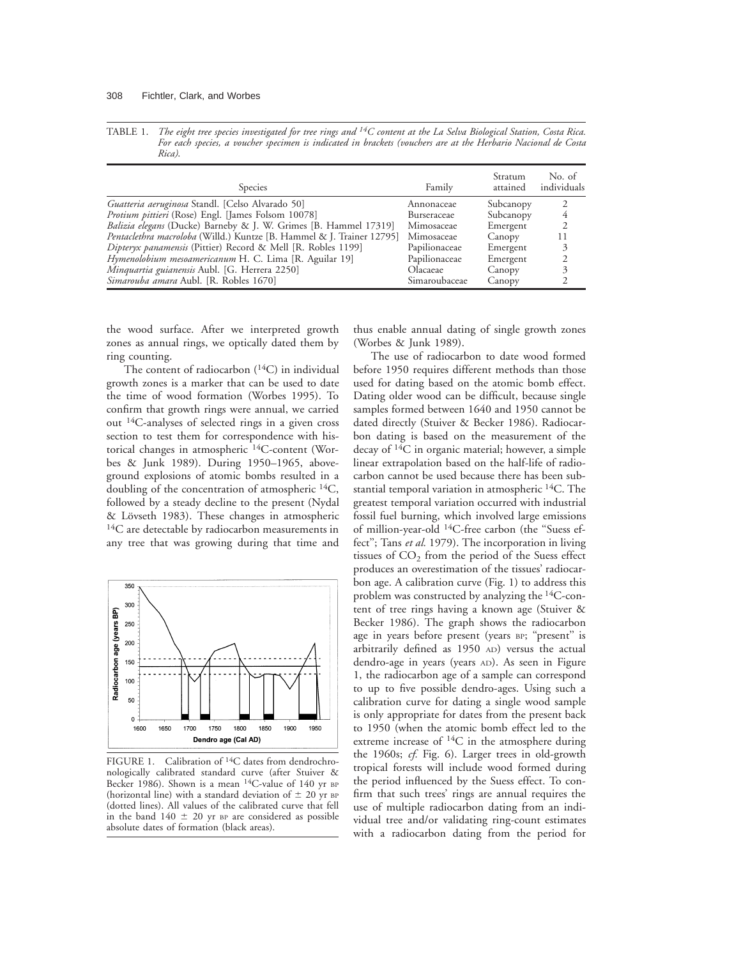TABLE 1. *The eight tree species investigated for tree rings and 14C content at the La Selva Biological Station, Costa Rica. For each species, a voucher specimen is indicated in brackets (vouchers are at the Herbario Nacional de Costa Rica)*.

| <b>Species</b>                                                        | Family        | Stratum<br>attained | No. of<br>individuals |
|-----------------------------------------------------------------------|---------------|---------------------|-----------------------|
| Guatteria aeruginosa Standl. [Celso Alvarado 50]                      | Annonaceae    | Subcanopy           |                       |
| Protium pittieri (Rose) Engl. [James Folsom 10078]                    | Burseraceae   | Subcanopy           |                       |
| Balizia elegans (Ducke) Barneby & J. W. Grimes [B. Hammel 17319]      | Mimosaceae    | Emergent            | 2                     |
| Pentaclethra macroloba (Willd.) Kuntze [B. Hammel & J. Trainer 12795] | Mimosaceae    | Canopy              |                       |
| Dipteryx panamensis (Pittier) Record & Mell [R. Robles 1199]          | Papilionaceae | Emergent            |                       |
| Hymenolobium mesoamericanum H. C. Lima [R. Aguilar 19]                | Papilionaceae | Emergent            |                       |
| Minquartia guianensis Aubl. [G. Herrera 2250]                         | Olacaeae      | Canopy              |                       |
| Simarouba amara Aubl. [R. Robles 1670]                                | Simaroubaceae | Canopy              |                       |

the wood surface. After we interpreted growth zones as annual rings, we optically dated them by ring counting.

The content of radiocarbon  $(^{14}C)$  in individual growth zones is a marker that can be used to date the time of wood formation (Worbes 1995). To confirm that growth rings were annual, we carried out 14C-analyses of selected rings in a given cross section to test them for correspondence with historical changes in atmospheric <sup>14</sup>C-content (Worbes & Junk 1989). During 1950–1965, aboveground explosions of atomic bombs resulted in a doubling of the concentration of atmospheric  ${}^{14}C$ , followed by a steady decline to the present (Nydal & Lövseth 1983). These changes in atmospheric  $14C$  are detectable by radiocarbon measurements in any tree that was growing during that time and



FIGURE 1. Calibration of <sup>14</sup>C dates from dendrochronologically calibrated standard curve (after Stuiver & Becker 1986). Shown is a mean  $14C$ -value of 140 yr BP (horizontal line) with a standard deviation of  $\pm$  20 yr BP (dotted lines). All values of the calibrated curve that fell in the band  $140 \pm 20$  yr BP are considered as possible absolute dates of formation (black areas).

thus enable annual dating of single growth zones (Worbes & Junk 1989).

The use of radiocarbon to date wood formed before 1950 requires different methods than those used for dating based on the atomic bomb effect. Dating older wood can be difficult, because single samples formed between 1640 and 1950 cannot be dated directly (Stuiver & Becker 1986). Radiocarbon dating is based on the measurement of the decay of 14C in organic material; however, a simple linear extrapolation based on the half-life of radiocarbon cannot be used because there has been substantial temporal variation in atmospheric <sup>14</sup>C. The greatest temporal variation occurred with industrial fossil fuel burning, which involved large emissions of million-year-old 14C-free carbon (the ''Suess effect''; Tans *et al.* 1979). The incorporation in living tissues of  $CO<sub>2</sub>$  from the period of the Suess effect produces an overestimation of the tissues' radiocarbon age. A calibration curve (Fig. 1) to address this problem was constructed by analyzing the 14C-content of tree rings having a known age (Stuiver & Becker 1986). The graph shows the radiocarbon age in years before present (years BP; "present" is arbitrarily defined as 1950 AD) versus the actual dendro-age in years (years AD). As seen in Figure 1, the radiocarbon age of a sample can correspond to up to five possible dendro-ages. Using such a calibration curve for dating a single wood sample is only appropriate for dates from the present back to 1950 (when the atomic bomb effect led to the extreme increase of 14C in the atmosphere during the 1960s; *cf.* Fig. 6). Larger trees in old-growth tropical forests will include wood formed during the period influenced by the Suess effect. To confirm that such trees' rings are annual requires the use of multiple radiocarbon dating from an individual tree and/or validating ring-count estimates with a radiocarbon dating from the period for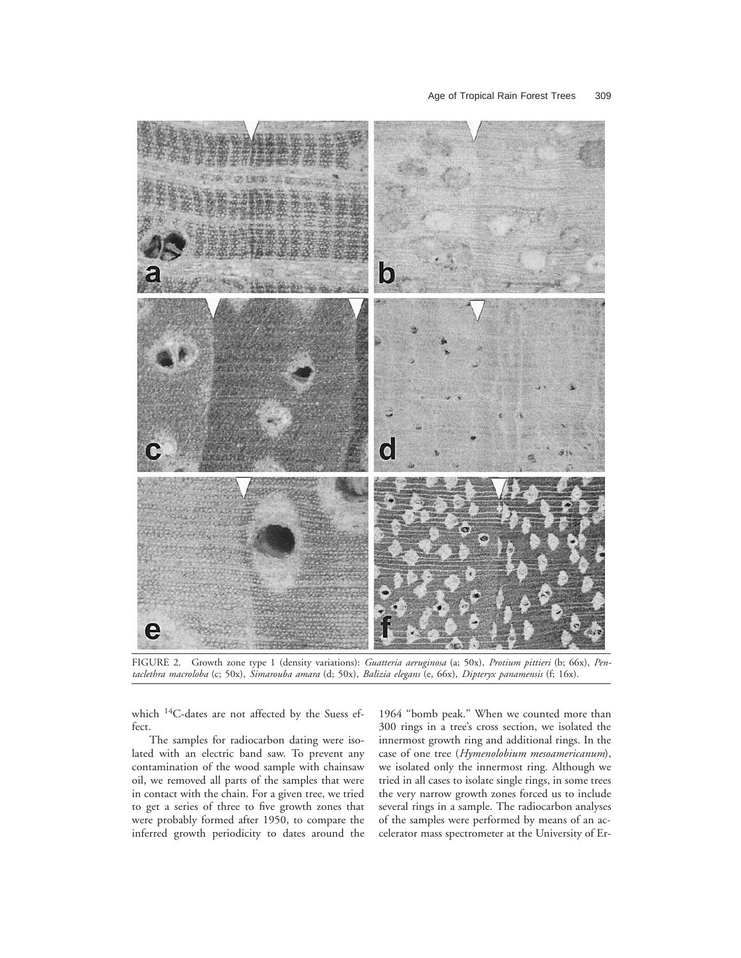

FIGURE 2. Growth zone type 1 (density variations): *Guatteria aeruginosa* (a; 50x), *Protium pittieri* (b; 66x), *Pentaclethra macroloba* (c; 50x), *Simarouba amara* (d; 50x), *Balizia elegans* (e, 66x), *Dipteryx panamensis* (f; 16x).

which 14C-dates are not affected by the Suess effect.

The samples for radiocarbon dating were isolated with an electric band saw. To prevent any contamination of the wood sample with chainsaw oil, we removed all parts of the samples that were in contact with the chain. For a given tree, we tried to get a series of three to five growth zones that were probably formed after 1950, to compare the inferred growth periodicity to dates around the

1964 ''bomb peak.'' When we counted more than 300 rings in a tree's cross section, we isolated the innermost growth ring and additional rings. In the case of one tree (*Hymenolobium mesoamericanum*), we isolated only the innermost ring. Although we tried in all cases to isolate single rings, in some trees the very narrow growth zones forced us to include several rings in a sample. The radiocarbon analyses of the samples were performed by means of an accelerator mass spectrometer at the University of Er-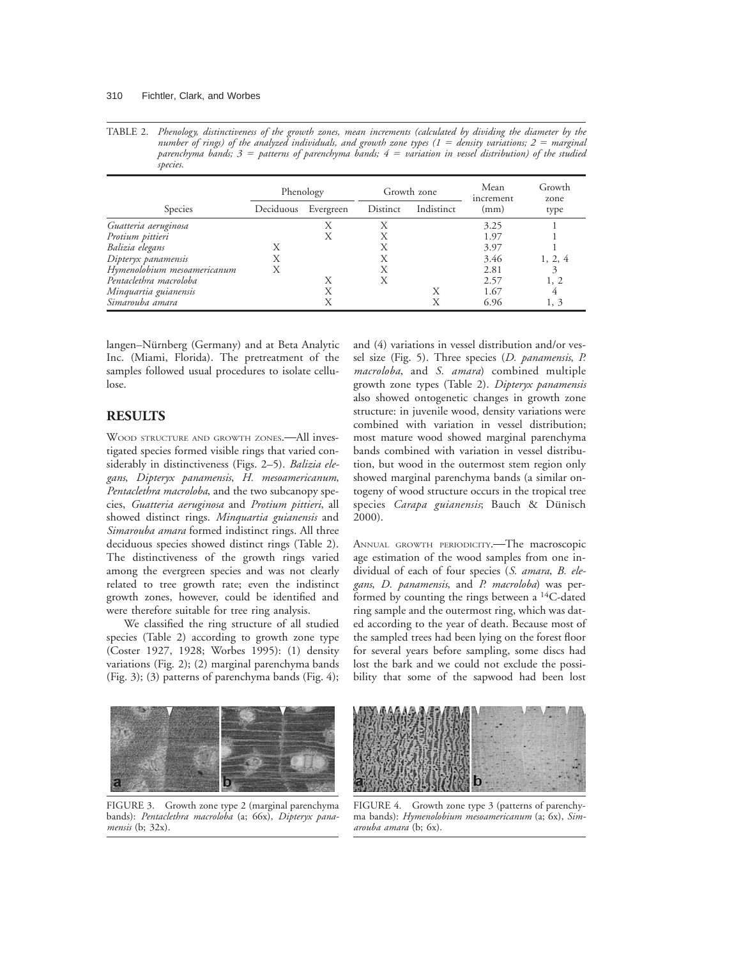TABLE 2. *Phenology, distinctiveness of the growth zones, mean increments (calculated by dividing the diameter by the number of rings) of the analyzed individuals, and growth zone types (1 = density variations; 2 = marginal parenchyma bands; 3* <sup>5</sup> *patterns of parenchyma bands; 4* <sup>5</sup> *variation in vessel distribution) of the studied species.*

|                             | Phenology |           | Growth zone |            | Mean<br>increment | Growth<br>zone |
|-----------------------------|-----------|-----------|-------------|------------|-------------------|----------------|
| Species                     | Deciduous | Evergreen | Distinct    | Indistinct | (mm)              | type           |
| Guatteria aeruginosa        |           | Χ         |             |            | 3.25              |                |
| Protium pittieri            |           | Х         |             |            | 1.97              |                |
| Balizia elegans             | X         |           | X           |            | 3.97              |                |
| Dipteryx panamensis         | Х         |           | X           |            | 3.46              | 1, 2, 4        |
| Hymenolobium mesoamericanum | Х         |           | X           |            | 2.81              | 3              |
| Pentaclethra macroloba      |           | X         | X           |            | 2.57              | 1, 2           |
| Minquartia guianensis       |           | Χ         |             |            | 1.67              | 4              |
| Simarouba amara             |           | Χ         |             |            | 6.96              | 1, 3           |

langen–Nürnberg (Germany) and at Beta Analytic Inc. (Miami, Florida). The pretreatment of the samples followed usual procedures to isolate cellulose.

# **RESULTS**

WOOD STRUCTURE AND GROWTH ZONES. - All investigated species formed visible rings that varied considerably in distinctiveness (Figs. 2–5). *Balizia elegans*, *Dipteryx panamensis*, *H. mesoamericanum*, *Pentaclethra macroloba*, and the two subcanopy species, *Guatteria aeruginosa* and *Protium pittieri*, all showed distinct rings. *Minquartia guianensis* and *Simarouba amara* formed indistinct rings. All three deciduous species showed distinct rings (Table 2). The distinctiveness of the growth rings varied among the evergreen species and was not clearly related to tree growth rate; even the indistinct growth zones, however, could be identified and were therefore suitable for tree ring analysis.

We classified the ring structure of all studied species (Table 2) according to growth zone type (Coster 1927, 1928; Worbes 1995): (1) density variations (Fig. 2); (2) marginal parenchyma bands (Fig. 3); (3) patterns of parenchyma bands (Fig. 4); and (4) variations in vessel distribution and/or vessel size (Fig. 5). Three species (*D. panamensis*, *P. macroloba*, and *S. amara*) combined multiple growth zone types (Table 2). *Dipteryx panamensis* also showed ontogenetic changes in growth zone structure: in juvenile wood, density variations were combined with variation in vessel distribution; most mature wood showed marginal parenchyma bands combined with variation in vessel distribution, but wood in the outermost stem region only showed marginal parenchyma bands (a similar ontogeny of wood structure occurs in the tropical tree species *Carapa guianensis*; Bauch & Dünisch 2000).

ANNUAL GROWTH PERIODICITY. The macroscopic age estimation of the wood samples from one individual of each of four species (*S. amara*, *B. elegans*, *D. panamensis*, and *P. macroloba*) was performed by counting the rings between a 14C-dated ring sample and the outermost ring, which was dated according to the year of death. Because most of the sampled trees had been lying on the forest floor for several years before sampling, some discs had lost the bark and we could not exclude the possibility that some of the sapwood had been lost



FIGURE 3. Growth zone type 2 (marginal parenchyma bands): *Pentaclethra macroloba* (a; 66x), *Dipteryx panamensis* (b; 32x).



FIGURE 4. Growth zone type 3 (patterns of parenchyma bands): *Hymenolobium mesoamericanum* (a; 6x), *Simarouba amara* (b; 6x).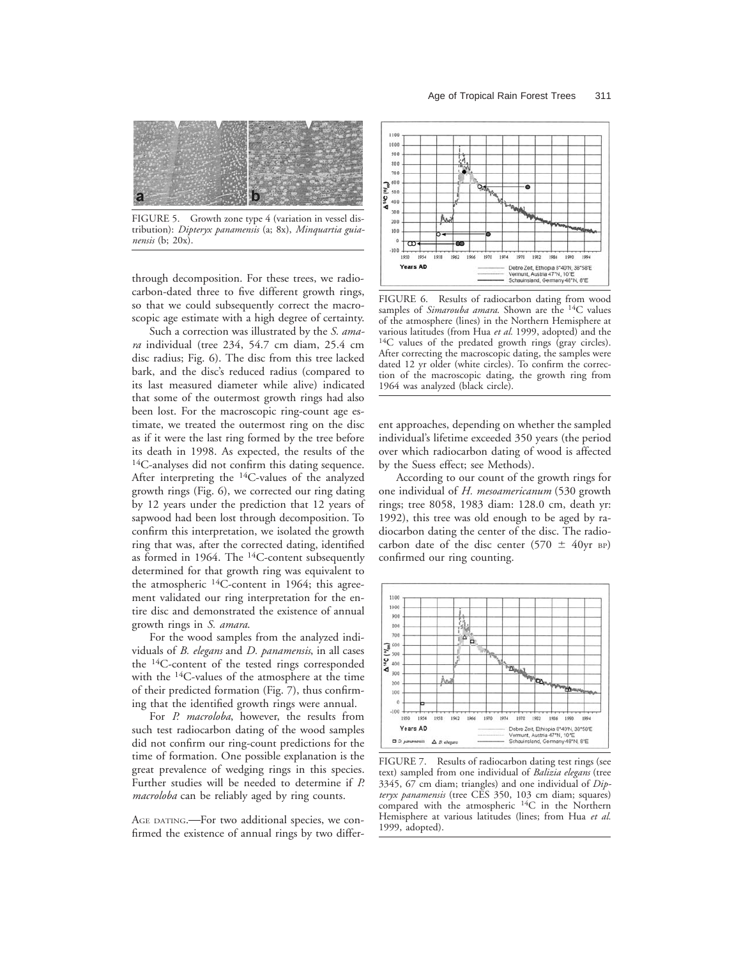

FIGURE 5. Growth zone type 4 (variation in vessel distribution): *Dipteryx panamensis* (a; 8x), *Minquartia guianensis* (b; 20x).

through decomposition. For these trees, we radiocarbon-dated three to five different growth rings, so that we could subsequently correct the macroscopic age estimate with a high degree of certainty.

Such a correction was illustrated by the *S. amara* individual (tree 234, 54.7 cm diam, 25.4 cm disc radius; Fig. 6). The disc from this tree lacked bark, and the disc's reduced radius (compared to its last measured diameter while alive) indicated that some of the outermost growth rings had also been lost. For the macroscopic ring-count age estimate, we treated the outermost ring on the disc as if it were the last ring formed by the tree before its death in 1998. As expected, the results of the <sup>14</sup>C-analyses did not confirm this dating sequence. After interpreting the 14C-values of the analyzed growth rings (Fig. 6), we corrected our ring dating by 12 years under the prediction that 12 years of sapwood had been lost through decomposition. To confirm this interpretation, we isolated the growth ring that was, after the corrected dating, identified as formed in 1964. The  $14C$ -content subsequently determined for that growth ring was equivalent to the atmospheric 14C-content in 1964; this agreement validated our ring interpretation for the entire disc and demonstrated the existence of annual growth rings in *S. amara*.

For the wood samples from the analyzed individuals of *B. elegans* and *D. panamensis*, in all cases the 14C-content of the tested rings corresponded with the 14C-values of the atmosphere at the time of their predicted formation (Fig. 7), thus confirming that the identified growth rings were annual.

For *P. macroloba*, however, the results from such test radiocarbon dating of the wood samples did not confirm our ring-count predictions for the time of formation. One possible explanation is the great prevalence of wedging rings in this species. Further studies will be needed to determine if *P. macroloba* can be reliably aged by ring counts.

AGE DATING. For two additional species, we confirmed the existence of annual rings by two differ-



FIGURE 6. Results of radiocarbon dating from wood samples of *Simarouba amara*. Shown are the 14C values of the atmosphere (lines) in the Northern Hemisphere at various latitudes (from Hua et al. 1999, adopted) and the <sup>14</sup>C values of the predated growth rings (gray circles). After correcting the macroscopic dating, the samples were dated 12 yr older (white circles). To confirm the correction of the macroscopic dating, the growth ring from 1964 was analyzed (black circle).

ent approaches, depending on whether the sampled individual's lifetime exceeded 350 years (the period over which radiocarbon dating of wood is affected by the Suess effect; see Methods).

According to our count of the growth rings for one individual of *H. mesoamericanum* (530 growth rings; tree 8058, 1983 diam: 128.0 cm, death yr: 1992), this tree was old enough to be aged by radiocarbon dating the center of the disc. The radiocarbon date of the disc center (570  $\pm$  40yr BP) confirmed our ring counting.



FIGURE 7. Results of radiocarbon dating test rings (see text) sampled from one individual of *Balizia elegans* (tree 3345, 67 cm diam; triangles) and one individual of *Dipteryx panamensis* (tree CES 350, 103 cm diam; squares) compared with the atmospheric 14C in the Northern Hemisphere at various latitudes (lines; from Hua *et al.* 1999, adopted).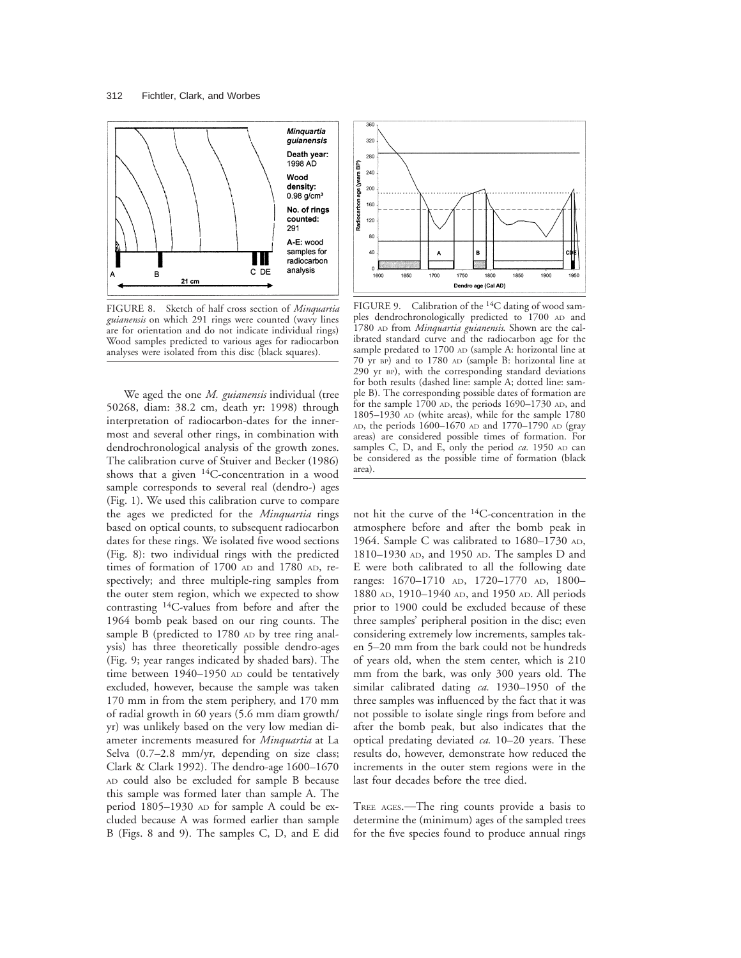

FIGURE 8. Sketch of half cross section of *Minquartia guianensis* on which 291 rings were counted (wavy lines are for orientation and do not indicate individual rings) Wood samples predicted to various ages for radiocarbon analyses were isolated from this disc (black squares).

We aged the one *M. guianensis* individual (tree 50268, diam: 38.2 cm, death yr: 1998) through interpretation of radiocarbon-dates for the innermost and several other rings, in combination with dendrochronological analysis of the growth zones. The calibration curve of Stuiver and Becker (1986) shows that a given  $14C$ -concentration in a wood sample corresponds to several real (dendro-) ages (Fig. 1). We used this calibration curve to compare the ages we predicted for the *Minquartia* rings based on optical counts, to subsequent radiocarbon dates for these rings. We isolated five wood sections (Fig. 8): two individual rings with the predicted times of formation of 1700 AD and 1780 AD, respectively; and three multiple-ring samples from the outer stem region, which we expected to show contrasting 14C-values from before and after the 1964 bomb peak based on our ring counts. The sample B (predicted to 1780 AD by tree ring analysis) has three theoretically possible dendro-ages (Fig. 9; year ranges indicated by shaded bars). The time between 1940–1950 AD could be tentatively excluded, however, because the sample was taken 170 mm in from the stem periphery, and 170 mm of radial growth in 60 years (5.6 mm diam growth/ yr) was unlikely based on the very low median diameter increments measured for *Minquartia* at La Selva (0.7–2.8 mm/yr, depending on size class; Clark & Clark 1992). The dendro-age 1600–1670 AD could also be excluded for sample B because this sample was formed later than sample A. The period 1805–1930 AD for sample A could be excluded because A was formed earlier than sample B (Figs. 8 and 9). The samples C, D, and E did



FIGURE 9. Calibration of the <sup>14</sup>C dating of wood samples dendrochronologically predicted to 1700 AD and 1780 AD from *Minquartia guianensis*. Shown are the calibrated standard curve and the radiocarbon age for the sample predated to 1700 AD (sample A: horizontal line at 70 yr BP) and to 1780 AD (sample B: horizontal line at 290 yr BP), with the corresponding standard deviations for both results (dashed line: sample A; dotted line: sample B). The corresponding possible dates of formation are for the sample 1700 AD, the periods 1690–1730 AD, and 1805–1930 AD (white areas), while for the sample 1780 AD, the periods 1600–1670 AD and 1770–1790 AD (gray areas) are considered possible times of formation. For samples C, D, and E, only the period *ca*. 1950 AD can be considered as the possible time of formation (black area).

not hit the curve of the 14C-concentration in the atmosphere before and after the bomb peak in 1964. Sample C was calibrated to 1680–1730 AD, 1810–1930 AD, and 1950 AD. The samples D and E were both calibrated to all the following date ranges: 1670–1710 AD, 1720–1770 AD, 1800– 1880 AD, 1910–1940 AD, and 1950 AD. All periods prior to 1900 could be excluded because of these three samples' peripheral position in the disc; even considering extremely low increments, samples taken 5–20 mm from the bark could not be hundreds of years old, when the stem center, which is 210 mm from the bark, was only 300 years old. The similar calibrated dating *ca.* 1930–1950 of the three samples was influenced by the fact that it was not possible to isolate single rings from before and after the bomb peak, but also indicates that the optical predating deviated *ca.* 10–20 years. These results do, however, demonstrate how reduced the increments in the outer stem regions were in the last four decades before the tree died.

TREE AGES.<sup>-</sup>The ring counts provide a basis to determine the (minimum) ages of the sampled trees for the five species found to produce annual rings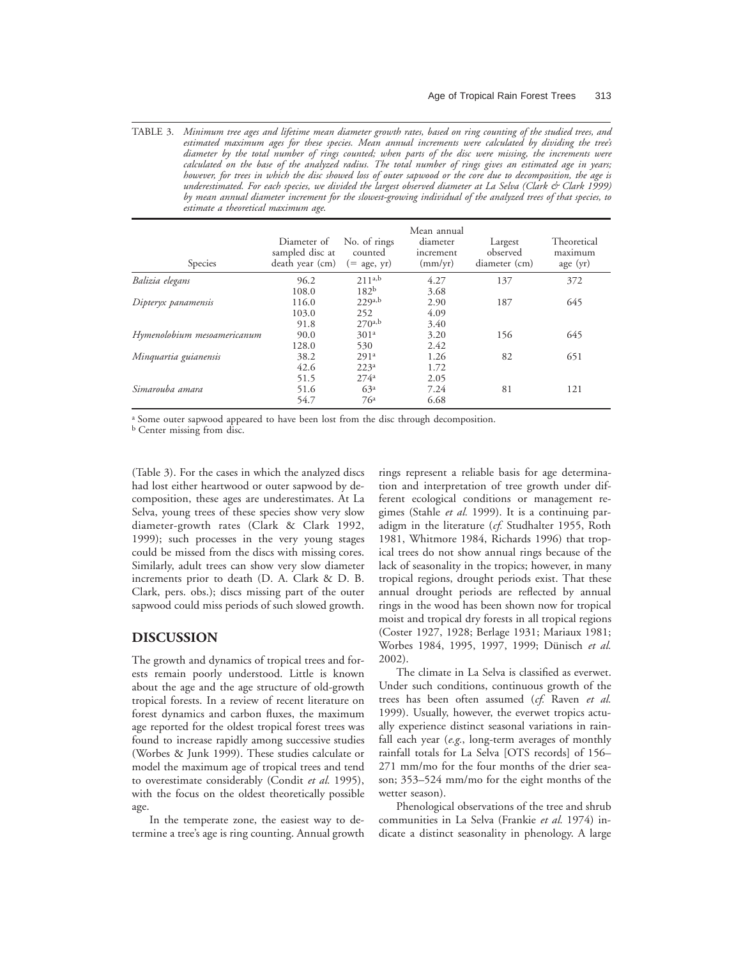TABLE 3. *Minimum tree ages and lifetime mean diameter growth rates, based on ring counting of the studied trees, and estimated maximum ages for these species. Mean annual increments were calculated by dividing the tree's diameter by the total number of rings counted; when parts of the disc were missing, the increments were calculated on the base of the analyzed radius. The total number of rings gives an estimated age in years; however, for trees in which the disc showed loss of outer sapwood or the core due to decomposition, the age is underestimated. For each species, we divided the largest observed diameter at La Selva (Clark & Clark 1999) by mean annual diameter increment for the slowest-growing individual of the analyzed trees of that species, to estimate a theoretical maximum age*.

| Species                     | Diameter of<br>sampled disc at<br>death year (cm) | No. of rings<br>counted<br>$(= \text{ age}, \text{ yr})$ | Mean annual<br>diameter<br>increment<br>(mm/yr) | Largest<br>observed<br>diameter (cm) | Theoretical<br>maximum<br>age(yr) |
|-----------------------------|---------------------------------------------------|----------------------------------------------------------|-------------------------------------------------|--------------------------------------|-----------------------------------|
| Balizia elegans             | 96.2                                              | 211a,b                                                   | 4.27                                            | 137                                  | 372                               |
|                             | 108.0                                             | 182 <sup>b</sup>                                         | 3.68                                            |                                      |                                   |
| Dipteryx panamensis         | 116.0                                             | 229a,b                                                   | 2.90                                            | 187                                  | 645                               |
|                             | 103.0                                             | 252                                                      | 4.09                                            |                                      |                                   |
|                             | 91.8                                              | $270^{a,b}$                                              | 3.40                                            |                                      |                                   |
| Hymenolobium mesoamericanum | 90.0                                              | 301 <sup>a</sup>                                         | 3.20                                            | 156                                  | 645                               |
|                             | 128.0                                             | 530                                                      | 2.42                                            |                                      |                                   |
| Minquartia guianensis       | 38.2                                              | 291a                                                     | 1.26                                            | 82                                   | 651                               |
|                             | 42.6                                              | 223 <sup>a</sup>                                         | 1.72                                            |                                      |                                   |
|                             | 51.5                                              | $274^a$                                                  | 2.05                                            |                                      |                                   |
| Simarouba amara             | 51.6                                              | 63 <sup>a</sup>                                          | 7.24                                            | 81                                   | 121                               |
|                             | 54.7                                              | 76ª                                                      | 6.68                                            |                                      |                                   |

<sup>a</sup> Some outer sapwood appeared to have been lost from the disc through decomposition.

<sup>b</sup> Center missing from disc.

(Table 3). For the cases in which the analyzed discs had lost either heartwood or outer sapwood by decomposition, these ages are underestimates. At La Selva, young trees of these species show very slow diameter-growth rates (Clark & Clark 1992, 1999); such processes in the very young stages could be missed from the discs with missing cores. Similarly, adult trees can show very slow diameter increments prior to death (D. A. Clark & D. B. Clark, pers. obs.); discs missing part of the outer sapwood could miss periods of such slowed growth.

#### **DISCUSSION**

The growth and dynamics of tropical trees and forests remain poorly understood. Little is known about the age and the age structure of old-growth tropical forests. In a review of recent literature on forest dynamics and carbon fluxes, the maximum age reported for the oldest tropical forest trees was found to increase rapidly among successive studies (Worbes & Junk 1999). These studies calculate or model the maximum age of tropical trees and tend to overestimate considerably (Condit *et al.* 1995), with the focus on the oldest theoretically possible age.

In the temperate zone, the easiest way to determine a tree's age is ring counting. Annual growth rings represent a reliable basis for age determination and interpretation of tree growth under different ecological conditions or management regimes (Stahle *et al.* 1999). It is a continuing paradigm in the literature (*cf.* Studhalter 1955, Roth 1981, Whitmore 1984, Richards 1996) that tropical trees do not show annual rings because of the lack of seasonality in the tropics; however, in many tropical regions, drought periods exist. That these annual drought periods are reflected by annual rings in the wood has been shown now for tropical moist and tropical dry forests in all tropical regions (Coster 1927, 1928; Berlage 1931; Mariaux 1981; Worbes 1984, 1995, 1997, 1999; Dünisch et al. 2002).

The climate in La Selva is classified as everwet. Under such conditions, continuous growth of the trees has been often assumed (*cf.* Raven *et al.* 1999). Usually, however, the everwet tropics actually experience distinct seasonal variations in rainfall each year (*e.g.*, long-term averages of monthly rainfall totals for La Selva [OTS records] of 156– 271 mm/mo for the four months of the drier season; 353–524 mm/mo for the eight months of the wetter season).

Phenological observations of the tree and shrub communities in La Selva (Frankie *et al.* 1974) indicate a distinct seasonality in phenology. A large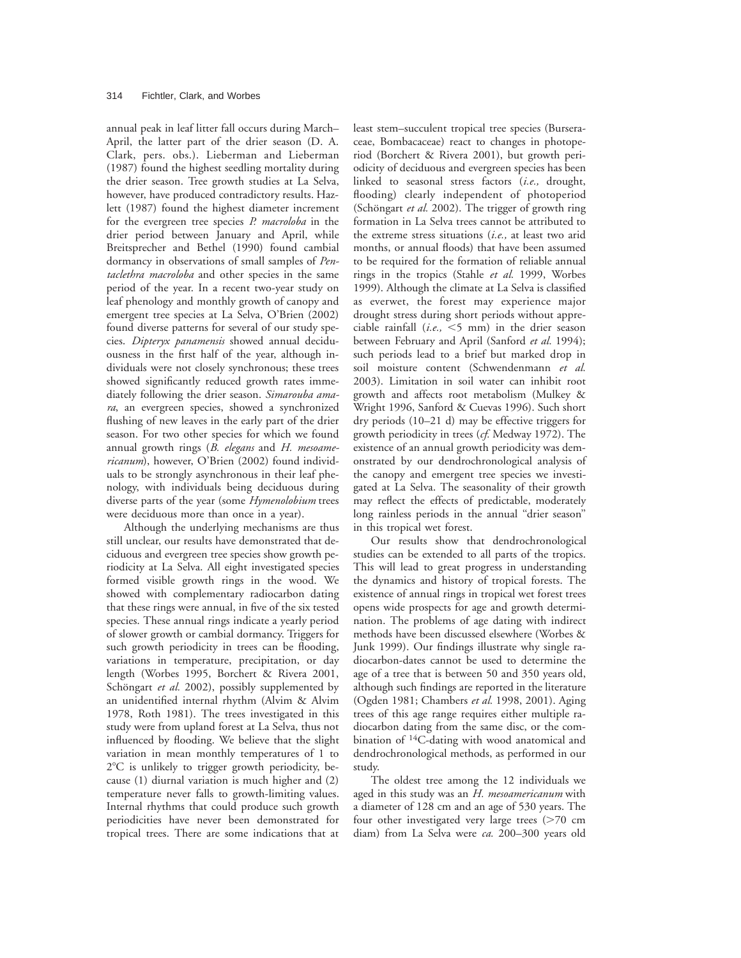annual peak in leaf litter fall occurs during March– April, the latter part of the drier season (D. A. Clark, pers. obs.). Lieberman and Lieberman (1987) found the highest seedling mortality during the drier season. Tree growth studies at La Selva, however, have produced contradictory results. Hazlett (1987) found the highest diameter increment for the evergreen tree species *P. macroloba* in the drier period between January and April, while Breitsprecher and Bethel (1990) found cambial dormancy in observations of small samples of *Pentaclethra macroloba* and other species in the same period of the year. In a recent two-year study on leaf phenology and monthly growth of canopy and emergent tree species at La Selva, O'Brien (2002) found diverse patterns for several of our study species. *Dipteryx panamensis* showed annual deciduousness in the first half of the year, although individuals were not closely synchronous; these trees showed significantly reduced growth rates immediately following the drier season. *Simarouba amara*, an evergreen species, showed a synchronized flushing of new leaves in the early part of the drier season. For two other species for which we found annual growth rings (*B. elegans* and *H. mesoamericanum*), however, O'Brien (2002) found individuals to be strongly asynchronous in their leaf phenology, with individuals being deciduous during diverse parts of the year (some *Hymenolobium* trees were deciduous more than once in a year).

Although the underlying mechanisms are thus still unclear, our results have demonstrated that deciduous and evergreen tree species show growth periodicity at La Selva. All eight investigated species formed visible growth rings in the wood. We showed with complementary radiocarbon dating that these rings were annual, in five of the six tested species. These annual rings indicate a yearly period of slower growth or cambial dormancy. Triggers for such growth periodicity in trees can be flooding, variations in temperature, precipitation, or day length (Worbes 1995, Borchert & Rivera 2001, Schöngart et al. 2002), possibly supplemented by an unidentified internal rhythm (Alvim & Alvim 1978, Roth 1981). The trees investigated in this study were from upland forest at La Selva, thus not influenced by flooding. We believe that the slight variation in mean monthly temperatures of 1 to  $2^{\circ}$ C is unlikely to trigger growth periodicity, because (1) diurnal variation is much higher and (2) temperature never falls to growth-limiting values. Internal rhythms that could produce such growth periodicities have never been demonstrated for tropical trees. There are some indications that at

least stem–succulent tropical tree species (Burseraceae, Bombacaceae) react to changes in photoperiod (Borchert & Rivera 2001), but growth periodicity of deciduous and evergreen species has been linked to seasonal stress factors (*i.e.,* drought, flooding) clearly independent of photoperiod (Schöngart et al. 2002). The trigger of growth ring formation in La Selva trees cannot be attributed to the extreme stress situations (*i.e.,* at least two arid months, or annual floods) that have been assumed to be required for the formation of reliable annual rings in the tropics (Stahle *et al.* 1999, Worbes 1999). Although the climate at La Selva is classified as everwet, the forest may experience major drought stress during short periods without appreciable rainfall  $(i.e., <5 mm)$  in the drier season between February and April (Sanford *et al.* 1994); such periods lead to a brief but marked drop in soil moisture content (Schwendenmann *et al.* 2003). Limitation in soil water can inhibit root growth and affects root metabolism (Mulkey & Wright 1996, Sanford & Cuevas 1996). Such short dry periods (10–21 d) may be effective triggers for growth periodicity in trees (*cf.* Medway 1972). The existence of an annual growth periodicity was demonstrated by our dendrochronological analysis of the canopy and emergent tree species we investigated at La Selva. The seasonality of their growth may reflect the effects of predictable, moderately long rainless periods in the annual "drier season" in this tropical wet forest.

Our results show that dendrochronological studies can be extended to all parts of the tropics. This will lead to great progress in understanding the dynamics and history of tropical forests. The existence of annual rings in tropical wet forest trees opens wide prospects for age and growth determination. The problems of age dating with indirect methods have been discussed elsewhere (Worbes & Junk 1999). Our findings illustrate why single radiocarbon-dates cannot be used to determine the age of a tree that is between 50 and 350 years old, although such findings are reported in the literature (Ogden 1981; Chambers *et al.* 1998, 2001). Aging trees of this age range requires either multiple radiocarbon dating from the same disc, or the combination of 14C-dating with wood anatomical and dendrochronological methods, as performed in our study.

The oldest tree among the 12 individuals we aged in this study was an *H. mesoamericanum* with a diameter of 128 cm and an age of 530 years. The four other investigated very large trees  $($ >70 cm diam) from La Selva were *ca.* 200–300 years old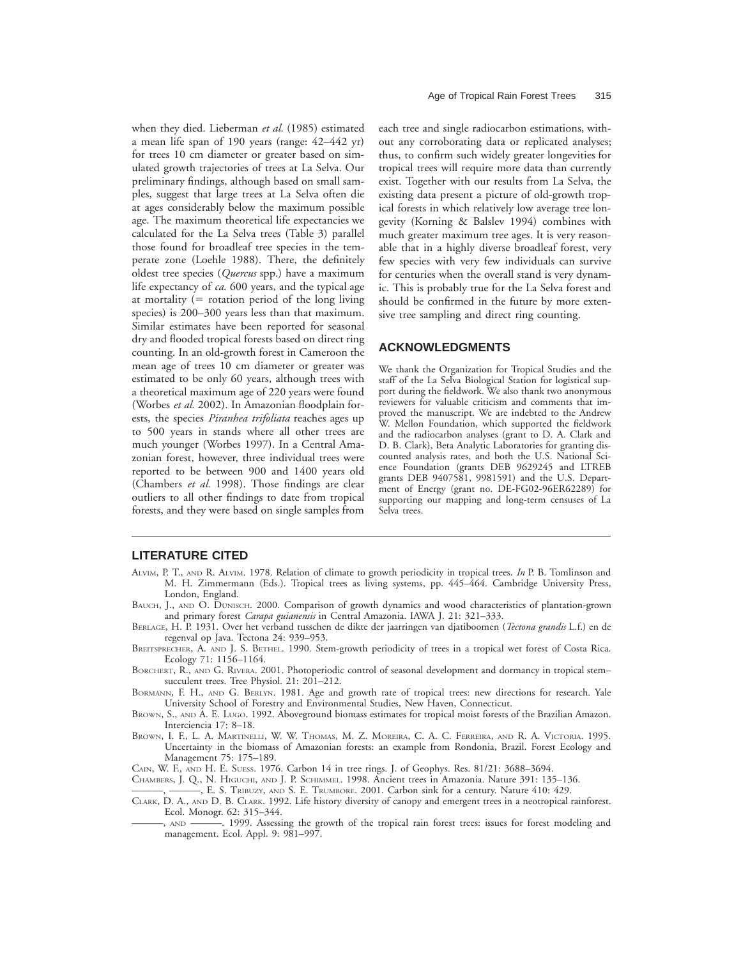when they died. Lieberman *et al.* (1985) estimated a mean life span of 190 years (range: 42–442 yr) for trees 10 cm diameter or greater based on simulated growth trajectories of trees at La Selva. Our preliminary findings, although based on small samples, suggest that large trees at La Selva often die at ages considerably below the maximum possible age. The maximum theoretical life expectancies we calculated for the La Selva trees (Table 3) parallel those found for broadleaf tree species in the temperate zone (Loehle 1988). There, the definitely oldest tree species (*Quercus* spp.) have a maximum life expectancy of *ca.* 600 years, and the typical age at mortality  $(=$  rotation period of the long living species) is 200–300 years less than that maximum. Similar estimates have been reported for seasonal dry and flooded tropical forests based on direct ring counting. In an old-growth forest in Cameroon the mean age of trees 10 cm diameter or greater was estimated to be only 60 years, although trees with a theoretical maximum age of 220 years were found (Worbes *et al.* 2002). In Amazonian floodplain forests, the species *Piranhea trifoliata* reaches ages up to 500 years in stands where all other trees are much younger (Worbes 1997). In a Central Amazonian forest, however, three individual trees were reported to be between 900 and 1400 years old (Chambers *et al.* 1998). Those findings are clear outliers to all other findings to date from tropical forests, and they were based on single samples from

each tree and single radiocarbon estimations, without any corroborating data or replicated analyses; thus, to confirm such widely greater longevities for tropical trees will require more data than currently exist. Together with our results from La Selva, the existing data present a picture of old-growth tropical forests in which relatively low average tree longevity (Korning & Balslev 1994) combines with much greater maximum tree ages. It is very reasonable that in a highly diverse broadleaf forest, very few species with very few individuals can survive for centuries when the overall stand is very dynamic. This is probably true for the La Selva forest and should be confirmed in the future by more extensive tree sampling and direct ring counting.

### **ACKNOWLEDGMENTS**

We thank the Organization for Tropical Studies and the staff of the La Selva Biological Station for logistical support during the fieldwork. We also thank two anonymous reviewers for valuable criticism and comments that improved the manuscript. We are indebted to the Andrew W. Mellon Foundation, which supported the fieldwork and the radiocarbon analyses (grant to D. A. Clark and D. B. Clark), Beta Analytic Laboratories for granting discounted analysis rates, and both the U.S. National Science Foundation (grants DEB 9629245 and LTREB grants DEB 9407581, 9981591) and the U.S. Department of Energy (grant no. DE-FG02-96ER62289) for supporting our mapping and long-term censuses of La Selva trees.

### **LITERATURE CITED**

- ALVIM, P. T., AND R. ALVIM. 1978. Relation of climate to growth periodicity in tropical trees. *In* P. B. Tomlinson and M. H. Zimmermann (Eds.). Tropical trees as living systems, pp. 445–464. Cambridge University Press, London, England.
- BAUCH, J., AND O. DUNISCH. 2000. Comparison of growth dynamics and wood characteristics of plantation-grown and primary forest *Carapa guianensis* in Central Amazonia. IAWA J. 21: 321–333.
- BERLAGE, H. P. 1931. Over het verband tusschen de dikte der jaarringen van djatiboomen (*Tectona grandis* L.f.) en de regenval op Java. Tectona 24: 939–953.
- BREITSPRECHER, A. AND J. S. BETHEL. 1990. Stem-growth periodicity of trees in a tropical wet forest of Costa Rica. Ecology 71: 1156–1164.
- BORCHERT, R., AND G. RIVERA. 2001. Photoperiodic control of seasonal development and dormancy in tropical stem– succulent trees. Tree Physiol. 21: 201–212.
- BORMANN, F. H., AND G. BERLYN. 1981. Age and growth rate of tropical trees: new directions for research. Yale University School of Forestry and Environmental Studies, New Haven, Connecticut.
- BROWN, S., AND A. E. LUGO. 1992. Aboveground biomass estimates for tropical moist forests of the Brazilian Amazon. Interciencia 17: 8–18.
- BROWN, I. F., L. A. MARTINELLI, W. W. THOMAS, M. Z. MOREIRA, C. A. C. FERREIRA, AND R. A. VICTORIA. 1995. Uncertainty in the biomass of Amazonian forests: an example from Rondonia, Brazil. Forest Ecology and Management 75: 175–189.
- CAIN, W. F., AND H. E. SUESS. 1976. Carbon 14 in tree rings. J. of Geophys. Res. 81/21: 3688–3694.
- CHAMBERS, J. Q., N. HIGUCHI, AND J. P. SCHIMMEL. 1998. Ancient trees in Amazonia. Nature 391: 135–136.
- ———, ———, E. S. TRIBUZY, AND S. E. TRUMBORE. 2001. Carbon sink for a century. Nature 410: 429.
- CLARK, D. A., AND D. B. CLARK. 1992. Life history diversity of canopy and emergent trees in a neotropical rainforest. Ecol. Monogr. 62: 315–344.
- ———, AND ———. 1999. Assessing the growth of the tropical rain forest trees: issues for forest modeling and management. Ecol. Appl. 9: 981–997.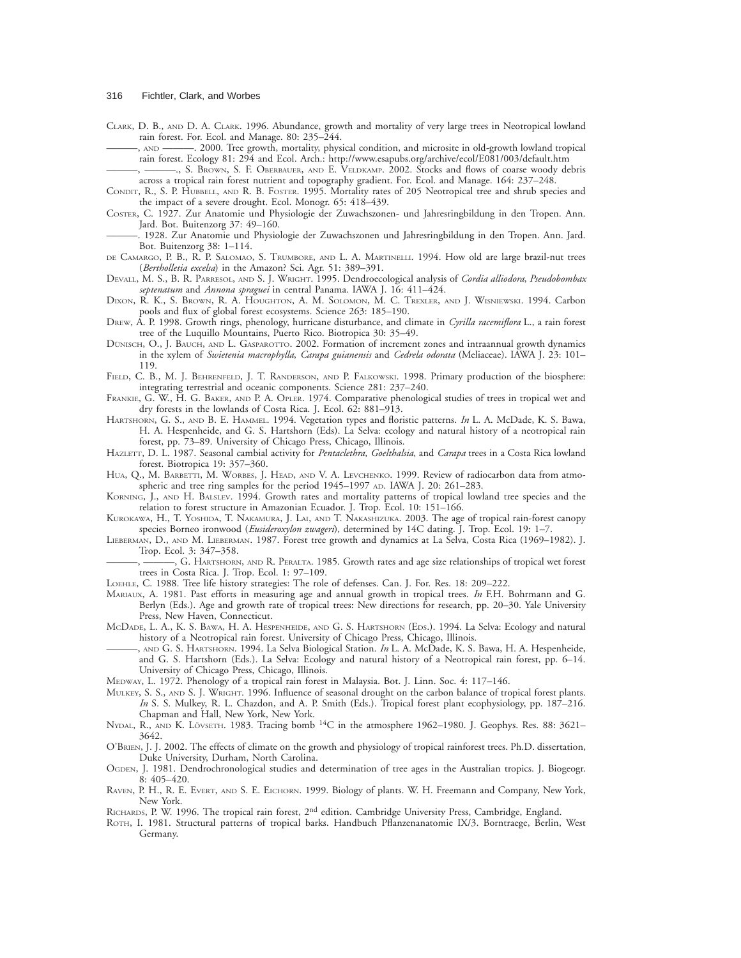CLARK, D. B., AND D. A. CLARK. 1996. Abundance, growth and mortality of very large trees in Neotropical lowland rain forest. For. Ecol. and Manage. 80: 235–244.

———, AND ———. 2000. Tree growth, mortality, physical condition, and microsite in old-growth lowland tropical rain forest. Ecology 81: 294 and Ecol. Arch.: http://www.esapubs.org/archive/ecol/E081/003/default.htm

———, ———., S. BROWN, S. F. OBERBAUER, AND E. VELDKAMP. 2002. Stocks and flows of coarse woody debris across a tropical rain forest nutrient and topography gradient. For. Ecol. and Manage. 164: 237–248.

- CONDIT, R., S. P. HUBBELL, AND R. B. FOSTER. 1995. Mortality rates of 205 Neotropical tree and shrub species and the impact of a severe drought. Ecol. Monogr. 65: 418–439.
- COSTER, C. 1927. Zur Anatomie und Physiologie der Zuwachszonen- und Jahresringbildung in den Tropen. Ann. Jard. Bot. Buitenzorg 37: 49–160.
- ———. 1928. Zur Anatomie und Physiologie der Zuwachszonen und Jahresringbildung in den Tropen. Ann. Jard. Bot. Buitenzorg 38: 1–114.
- DE CAMARGO, P. B., R. P. SALOMAO, S. TRUMBORE, AND L. A. MARTINELLI. 1994. How old are large brazil-nut trees (*Bertholletia excelsa*) in the Amazon? Sci. Agr. 51: 389–391.
- DEVALL, M. S., B. R. PARRESOL, AND S. J. WRIGHT. 1995. Dendroecological analysis of *Cordia alliodora*, *Pseudobombax septenatum* and *Annona spraguei* in central Panama. IAWA J. 16: 411–424.
- DIXON, R. K., S. BROWN, R. A. HOUGHTON, A. M. SOLOMON, M. C. TREXLER, AND J. WISNIEWSKI. 1994. Carbon pools and flux of global forest ecosystems. Science 263: 185–190.
- DREW, A. P. 1998. Growth rings, phenology, hurricane disturbance, and climate in *Cyrilla racemiflora* L., a rain forest tree of the Luquillo Mountains, Puerto Rico. Biotropica 30: 35–49.
- DUNISCH, O., J. BAUCH, AND L. GASPAROTTO. 2002. Formation of increment zones and intraannual growth dynamics in the xylem of *Swietenia macrophylla*, *Carapa guianensis* and *Cedrela odorata* (Meliaceae). IAWA J. 23: 101– 119.
- FIELD, C. B., M. J. BEHRENFELD, J. T. RANDERSON, AND P. FALKOWSKI. 1998. Primary production of the biosphere: integrating terrestrial and oceanic components. Science 281: 237–240.
- FRANKIE, G. W., H. G. BAKER, AND P. A. OPLER. 1974. Comparative phenological studies of trees in tropical wet and dry forests in the lowlands of Costa Rica. J. Ecol. 62: 881–913.
- HARTSHORN, G. S., AND B. E. HAMMEL. 1994. Vegetation types and floristic patterns. *In* L. A. McDade, K. S. Bawa, H. A. Hespenheide, and G. S. Hartshorn (Eds). La Selva: ecology and natural history of a neotropical rain forest, pp. 73–89. University of Chicago Press, Chicago, Illinois.
- HAZLETT, D. L. 1987. Seasonal cambial activity for *Pentaclethra*, *Goelthalsia*, and *Carapa* trees in a Costa Rica lowland forest. Biotropica 19: 357–360.
- HUA, Q., M. BARBETTI, M. WORBES, J. HEAD, AND V. A. LEVCHENKO. 1999. Review of radiocarbon data from atmospheric and tree ring samples for the period 1945–1997 AD. IAWA J. 20: 261–283.
- KORNING, J., AND H. BALSLEV. 1994. Growth rates and mortality patterns of tropical lowland tree species and the relation to forest structure in Amazonian Ecuador. J. Trop. Ecol. 10: 151–166.
- KUROKAWA, H., T. YOSHIDA, T. NAKAMURA, J. LAI, AND T. NAKASHIZUKA. 2003. The age of tropical rain-forest canopy species Borneo ironwood (*Eusideroxylon zwageri*), determined by 14C dating. J. Trop. Ecol. 19: 1–7.
- LIEBERMAN, D., AND M. LIEBERMAN. 1987. Forest tree growth and dynamics at La Selva, Costa Rica (1969–1982). J. Trop. Ecol. 3: 347–358.
	- ———, ———, G. HARTSHORN, AND R. PERALTA. 1985. Growth rates and age size relationships of tropical wet forest trees in Costa Rica. J. Trop. Ecol. 1: 97–109.
- LOEHLE, C. 1988. Tree life history strategies: The role of defenses. Can. J. For. Res. 18: 209–222.
- MARIAUX, A. 1981. Past efforts in measuring age and annual growth in tropical trees. *In* F.H. Bohrmann and G. Berlyn (Eds.). Age and growth rate of tropical trees: New directions for research, pp. 20–30. Yale University Press, New Haven, Connecticut.
- MCDADE, L. A., K. S. BAWA, H. A. HESPENHEIDE, AND G. S. HARTSHORN (EDS.). 1994. La Selva: Ecology and natural history of a Neotropical rain forest. University of Chicago Press, Chicago, Illinois.
- ———, AND G. S. HARTSHORN. 1994. La Selva Biological Station. *In* L. A. McDade, K. S. Bawa, H. A. Hespenheide, and G. S. Hartshorn (Eds.). La Selva: Ecology and natural history of a Neotropical rain forest, pp. 6–14. University of Chicago Press, Chicago, Illinois.
- MEDWAY, L. 1972. Phenology of a tropical rain forest in Malaysia. Bot. J. Linn. Soc. 4: 117–146.
- MULKEY, S. S., AND S. J. WRIGHT. 1996. Influence of seasonal drought on the carbon balance of tropical forest plants. *In* S. S. Mulkey, R. L. Chazdon, and A. P. Smith (Eds.). Tropical forest plant ecophysiology, pp. 187-216. Chapman and Hall, New York, New York.
- NYDAL, R., AND K. LOVSETH. 1983. Tracing bomb <sup>14</sup>C in the atmosphere 1962–1980. J. Geophys. Res. 88: 3621– 3642.
- O'BRIEN, J. J. 2002. The effects of climate on the growth and physiology of tropical rainforest trees. Ph.D. dissertation, Duke University, Durham, North Carolina.
- OGDEN, J. 1981. Dendrochronological studies and determination of tree ages in the Australian tropics. J. Biogeogr. 8: 405–420.
- RAVEN, P. H., R. E. EVERT, AND S. E. EICHORN. 1999. Biology of plants. W. H. Freemann and Company, New York, New York.
- RICHARDS, P. W. 1996. The tropical rain forest, 2<sup>nd</sup> edition. Cambridge University Press, Cambridge, England.
- ROTH, I. 1981. Structural patterns of tropical barks. Handbuch Pflanzenanatomie IX/3. Borntraege, Berlin, West Germany.